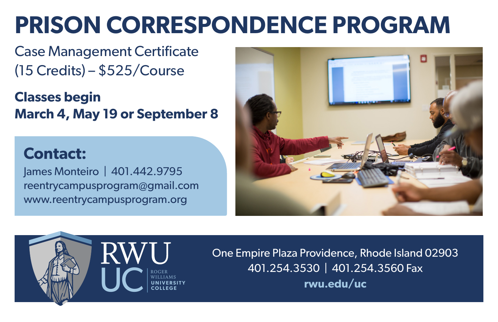# **PRISON CORRESPONDENCE PROGRAM**

Case Management Certificate (15 Credits) – \$525/Course

**Classes begin March 4, May 19 or September 8**

# **Contact:**

James Monteiro | 401.442.9795 reentrycampusprogram@gmail.com www.reentrycampusprogram.org





One Empire Plaza Providence, Rhode Island 02903 401.254.3530 | 401.254.3560 Fax **rwu.edu/uc**